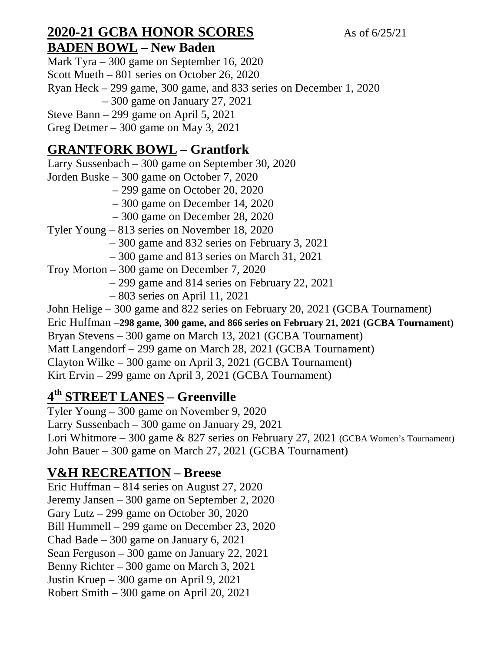#### **2020-21 GCBA HONOR SCORES** As of 6/25/21 **BADEN BOWL – New Baden**

Mark Tyra – 300 game on September 16, 2020 Scott Mueth – 801 series on October 26, 2020 Ryan Heck – 299 game, 300 game, and 833 series on December 1, 2020 – 300 game on January 27, 2021 Steve Bann – 299 game on April 5, 2021

Greg Detmer – 300 game on May 3, 2021

# **GRANTFORK BOWL – Grantfork**

Larry Sussenbach – 300 game on September 30, 2020

Jorden Buske – 300 game on October 7, 2020

– 299 game on October 20, 2020

– 300 game on December 14, 2020

– 300 game on December 28, 2020

Tyler Young – 813 series on November 18, 2020

– 300 game and 832 series on February 3, 2021

– 300 game and 813 series on March 31, 2021

Troy Morton – 300 game on December 7, 2020

– 299 game and 814 series on February 22, 2021

– 803 series on April 11, 2021

John Helige – 300 game and 822 series on February 20, 2021 (GCBA Tournament)

Eric Huffman –**298 game, 300 game, and 866 series on February 21, 2021 (GCBA Tournament)**

Bryan Stevens – 300 game on March 13, 2021 (GCBA Tournament)

Matt Langendorf – 299 game on March 28, 2021 (GCBA Tournament)

Clayton Wilke – 300 game on April 3, 2021 (GCBA Tournament)

Kirt Ervin – 299 game on April 3, 2021 (GCBA Tournament)

# **4 th STREET LANES – Greenville**

Tyler Young – 300 game on November 9, 2020 Larry Sussenbach – 300 game on January 29, 2021 Lori Whitmore – 300 game & 827 series on February 27, 2021 (GCBA Women's Tournament) John Bauer – 300 game on March 27, 2021 (GCBA Tournament)

## **V&H RECREATION – Breese**

Eric Huffman – 814 series on August 27, 2020 Jeremy Jansen – 300 game on September 2, 2020 Gary Lutz – 299 game on October 30, 2020 Bill Hummell – 299 game on December 23, 2020 Chad Bade – 300 game on January 6, 2021 Sean Ferguson – 300 game on January 22, 2021 Benny Richter – 300 game on March 3, 2021 Justin Kruep – 300 game on April 9, 2021 Robert Smith – 300 game on April 20, 2021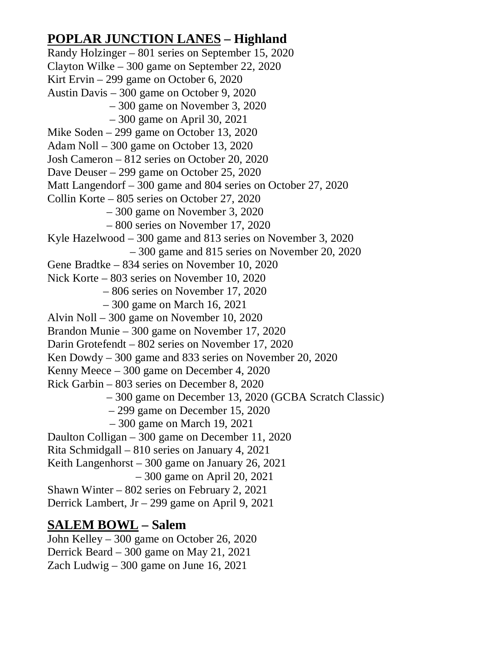## **POPLAR JUNCTION LANES – Highland**

Randy Holzinger – 801 series on September 15, 2020 Clayton Wilke – 300 game on September 22, 2020 Kirt Ervin – 299 game on October 6, 2020 Austin Davis – 300 game on October 9, 2020 – 300 game on November 3, 2020 – 300 game on April 30, 2021 Mike Soden – 299 game on October 13, 2020 Adam Noll – 300 game on October 13, 2020 Josh Cameron – 812 series on October 20, 2020 Dave Deuser – 299 game on October 25, 2020 Matt Langendorf – 300 game and 804 series on October 27, 2020 Collin Korte – 805 series on October 27, 2020 – 300 game on November 3, 2020 – 800 series on November 17, 2020 Kyle Hazelwood – 300 game and 813 series on November 3, 2020 – 300 game and 815 series on November 20, 2020 Gene Bradtke – 834 series on November 10, 2020 Nick Korte – 803 series on November 10, 2020 – 806 series on November 17, 2020 – 300 game on March 16, 2021 Alvin Noll – 300 game on November 10, 2020 Brandon Munie – 300 game on November 17, 2020 Darin Grotefendt – 802 series on November 17, 2020 Ken Dowdy – 300 game and 833 series on November 20, 2020 Kenny Meece – 300 game on December 4, 2020 Rick Garbin – 803 series on December 8, 2020 – 300 game on December 13, 2020 (GCBA Scratch Classic) – 299 game on December 15, 2020 – 300 game on March 19, 2021 Daulton Colligan – 300 game on December 11, 2020 Rita Schmidgall – 810 series on January 4, 2021 Keith Langenhorst – 300 game on January 26, 2021 – 300 game on April 20, 2021 Shawn Winter – 802 series on February 2, 2021 Derrick Lambert, Jr – 299 game on April 9, 2021 **SALEM BOWL – Salem**

John Kelley – 300 game on October 26, 2020 Derrick Beard – 300 game on May 21, 2021 Zach Ludwig – 300 game on June 16, 2021